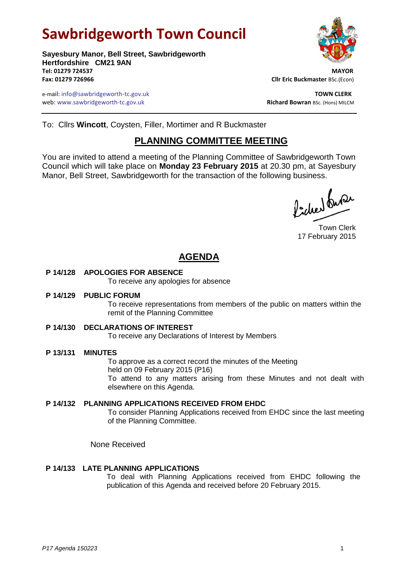# **Sawbridgeworth Town Council**



e-mail: info@sawbridgeworth-tc.gov.uk **TOWN CLERK** web: www.sawbridgeworth-tc.gov.uk **Richard Bowran** BSc. (Hons) MILCM



To: Cllrs **Wincott**, Coysten, Filler, Mortimer and R Buckmaster

## **PLANNING COMMITTEE MEETING**

You are invited to attend a meeting of the Planning Committee of Sawbridgeworth Town Council which will take place on **Monday 23 February 2015** at 20.30 pm, at Sayesbury Manor, Bell Street, Sawbridgeworth for the transaction of the following business.

Picked Super

Town Clerk 17 February 2015

## **AGENDA**

**P 14/128 APOLOGIES FOR ABSENCE**

To receive any apologies for absence

**P 14/129 PUBLIC FORUM**

To receive representations from members of the public on matters within the remit of the Planning Committee

**P 14/130 DECLARATIONS OF INTEREST**

To receive any Declarations of Interest by Members

**P 13/131 MINUTES**

To approve as a correct record the minutes of the Meeting held on 09 February 2015 (P16) To attend to any matters arising from these Minutes and not dealt with elsewhere on this Agenda.

**P 14/132 PLANNING APPLICATIONS RECEIVED FROM EHDC** To consider Planning Applications received from EHDC since the last meeting

of the Planning Committee.

None Received

### **P 14/133 LATE PLANNING APPLICATIONS**

To deal with Planning Applications received from EHDC following the publication of this Agenda and received before 20 February 2015.